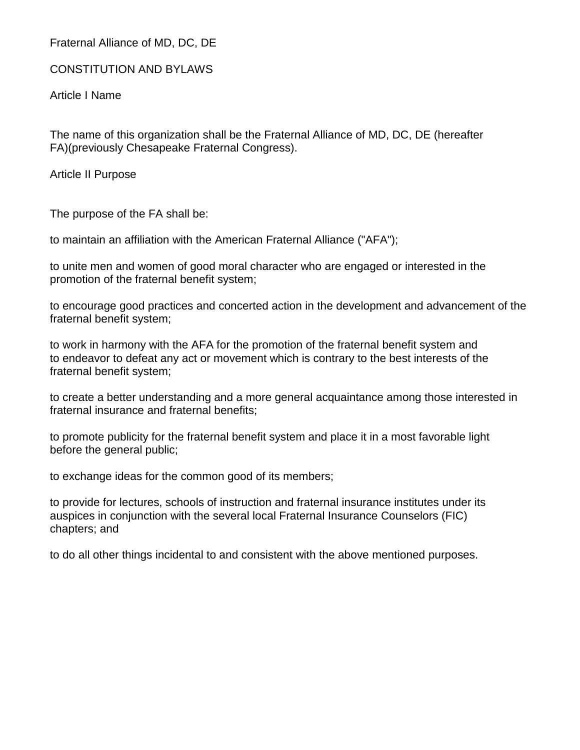Fraternal Alliance of MD, DC, DE

CONSTITUTION AND BYLAWS

Article I Name

The name of this organization shall be the Fraternal Alliance of MD, DC, DE (hereafter FA)(previously Chesapeake Fraternal Congress).

Article II Purpose

The purpose of the FA shall be:

to maintain an affiliation with the American Fraternal Alliance ("AFA");

to unite men and women of good moral character who are engaged or interested in the promotion of the fraternal benefit system;

to encourage good practices and concerted action in the development and advancement of the fraternal benefit system;

to work in harmony with the AFA for the promotion of the fraternal benefit system and to endeavor to defeat any act or movement which is contrary to the best interests of the fraternal benefit system;

to create a better understanding and a more general acquaintance among those interested in fraternal insurance and fraternal benefits;

to promote publicity for the fraternal benefit system and place it in a most favorable light before the general public;

to exchange ideas for the common good of its members;

to provide for lectures, schools of instruction and fraternal insurance institutes under its auspices in conjunction with the several local Fraternal Insurance Counselors (FIC) chapters; and

to do all other things incidental to and consistent with the above mentioned purposes.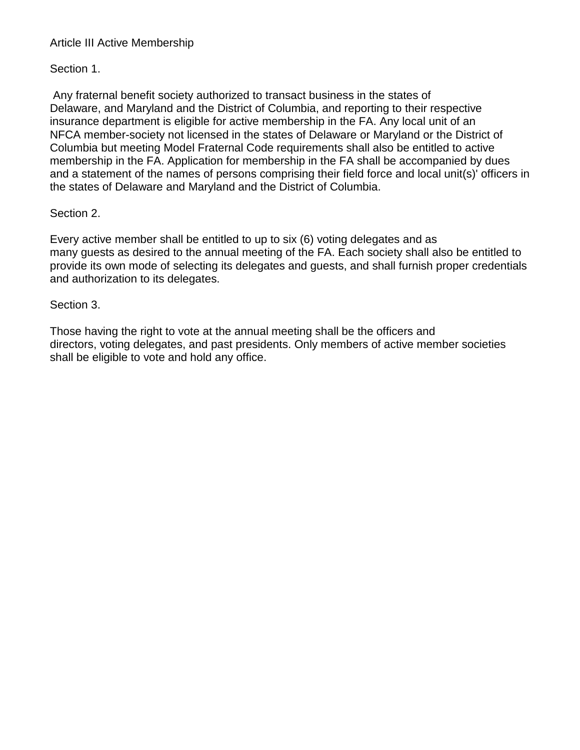# Article III Active Membership

Section 1.

Any fraternal benefit society authorized to transact business in the states of Delaware, and Maryland and the District of Columbia, and reporting to their respective insurance department is eligible for active membership in the FA. Any local unit of an NFCA member-society not licensed in the states of Delaware or Maryland or the District of Columbia but meeting Model Fraternal Code requirements shall also be entitled to active membership in the FA. Application for membership in the FA shall be accompanied by dues and a statement of the names of persons comprising their field force and local unit(s)' officers in the states of Delaware and Maryland and the District of Columbia.

# Section 2.

Every active member shall be entitled to up to six (6) voting delegates and as many guests as desired to the annual meeting of the FA. Each society shall also be entitled to provide its own mode of selecting its delegates and guests, and shall furnish proper credentials and authorization to its delegates.

#### Section 3.

Those having the right to vote at the annual meeting shall be the officers and directors, voting delegates, and past presidents. Only members of active member societies shall be eligible to vote and hold any office.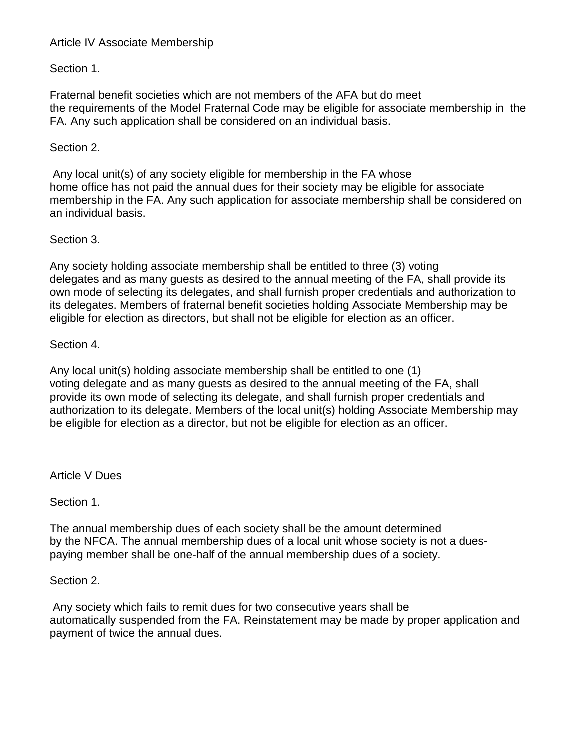# Article IV Associate Membership

Section 1.

Fraternal benefit societies which are not members of the AFA but do meet the requirements of the Model Fraternal Code may be eligible for associate membership in the FA. Any such application shall be considered on an individual basis.

# Section 2.

Any local unit(s) of any society eligible for membership in the FA whose home office has not paid the annual dues for their society may be eligible for associate membership in the FA. Any such application for associate membership shall be considered on an individual basis.

# Section 3.

Any society holding associate membership shall be entitled to three (3) voting delegates and as many guests as desired to the annual meeting of the FA, shall provide its own mode of selecting its delegates, and shall furnish proper credentials and authorization to its delegates. Members of fraternal benefit societies holding Associate Membership may be eligible for election as directors, but shall not be eligible for election as an officer.

# Section 4.

Any local unit(s) holding associate membership shall be entitled to one (1) voting delegate and as many guests as desired to the annual meeting of the FA, shall provide its own mode of selecting its delegate, and shall furnish proper credentials and authorization to its delegate. Members of the local unit(s) holding Associate Membership may be eligible for election as a director, but not be eligible for election as an officer.

Article V Dues

Section 1.

The annual membership dues of each society shall be the amount determined by the NFCA. The annual membership dues of a local unit whose society is not a duespaying member shall be one-half of the annual membership dues of a society.

Section 2.

Any society which fails to remit dues for two consecutive years shall be automatically suspended from the FA. Reinstatement may be made by proper application and payment of twice the annual dues.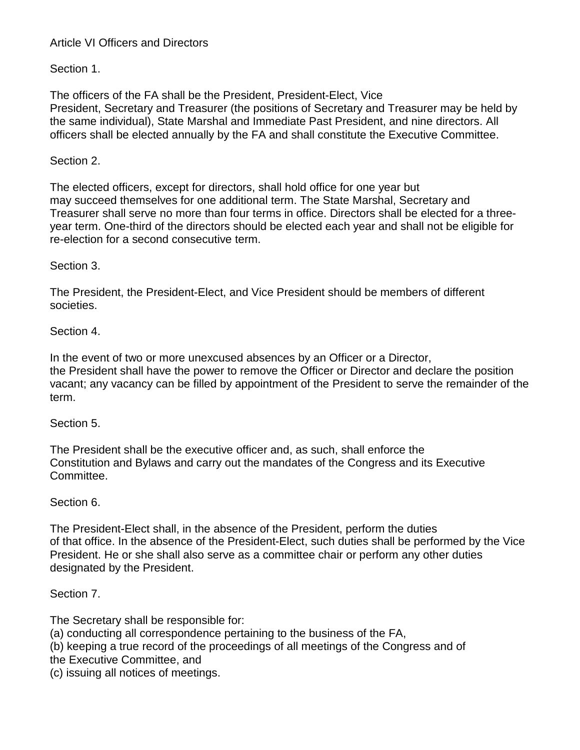# Article VI Officers and Directors

Section 1.

The officers of the FA shall be the President, President-Elect, Vice President, Secretary and Treasurer (the positions of Secretary and Treasurer may be held by the same individual), State Marshal and Immediate Past President, and nine directors. All officers shall be elected annually by the FA and shall constitute the Executive Committee.

# Section 2.

The elected officers, except for directors, shall hold office for one year but may succeed themselves for one additional term. The State Marshal, Secretary and Treasurer shall serve no more than four terms in office. Directors shall be elected for a three year term. One-third of the directors should be elected each year and shall not be eligible for re-election for a second consecutive term.

# Section 3.

The President, the President-Elect, and Vice President should be members of different societies.

# Section 4.

In the event of two or more unexcused absences by an Officer or a Director, the President shall have the power to remove the Officer or Director and declare the position vacant; any vacancy can be filled by appointment of the President to serve the remainder of the term.

# Section 5.

The President shall be the executive officer and, as such, shall enforce the Constitution and Bylaws and carry out the mandates of the Congress and its Executive Committee.

# Section 6.

The President-Elect shall, in the absence of the President, perform the duties of that office. In the absence of the President-Elect, such duties shall be performed by the Vice President. He or she shall also serve as a committee chair or perform any other duties designated by the President.

# Section 7.

The Secretary shall be responsible for:

- (a) conducting all correspondence pertaining to the business of the FA,
- (b) keeping a true record of the proceedings of all meetings of the Congress and of
- the Executive Committee, and
- (c) issuing all notices of meetings.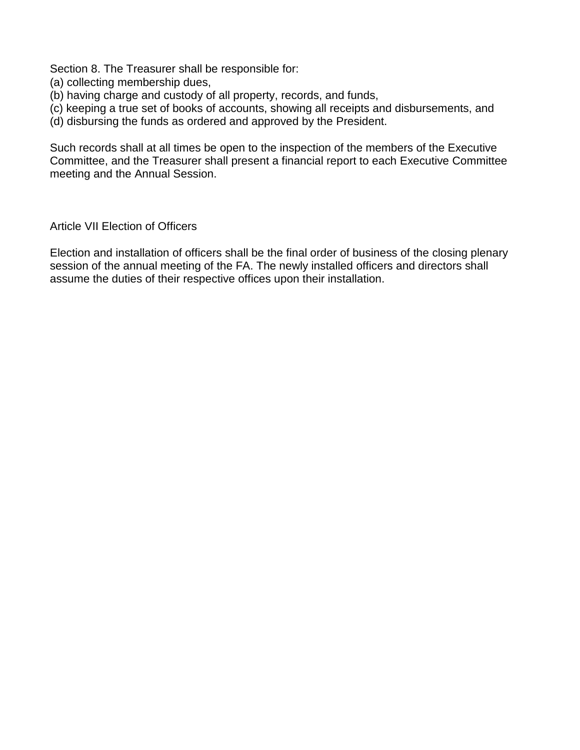Section 8. The Treasurer shall be responsible for:

- (a) collecting membership dues,
- (b) having charge and custody of all property, records, and funds,
- (c) keeping a true set of books of accounts, showing all receipts and disbursements, and
- (d) disbursing the funds as ordered and approved by the President.

Such records shall at all times be open to the inspection of the members of the Executive Committee, and the Treasurer shall present a financial report to each Executive Committee meeting and the Annual Session.

Article VII Election of Officers

Election and installation of officers shall be the final order of business of the closing plenary session of the annual meeting of the FA. The newly installed officers and directors shall assume the duties of their respective offices upon their installation.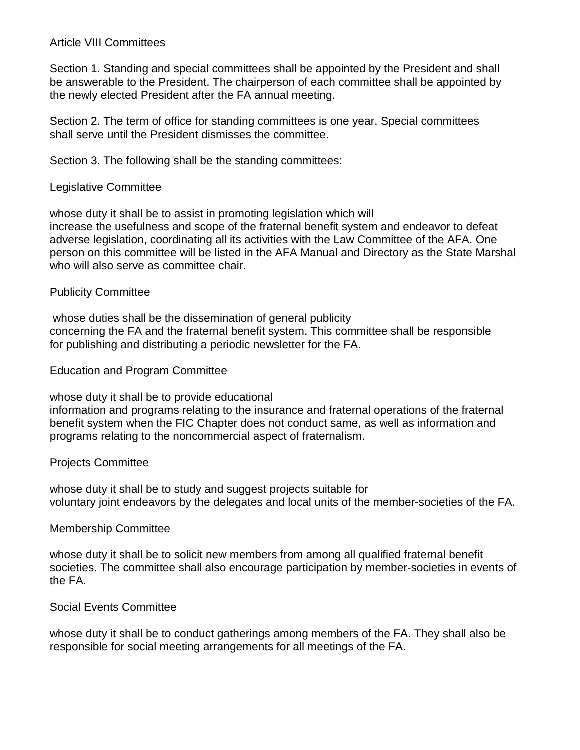# Article VIII Committees

Section 1. Standing and special committees shall be appointed by the President and shall be answerable to the President. The chairperson of each committee shall be appointed by the newly elected President after the FA annual meeting.

Section 2. The term of office for standing committees is one year. Special committees shall serve until the President dismisses the committee.

Section 3. The following shall be the standing committees:

# Legislative Committee

whose duty it shall be to assist in promoting legislation which will increase the usefulness and scope of the fraternal benefit system and endeavor to defeat adverse legislation, coordinating all its activities with the Law Committee of the AFA. One person on this committee will be listed in the AFA Manual and Directory as the State Marshal who will also serve as committee chair.

# Publicity Committee

whose duties shall be the dissemination of general publicity concerning the FA and the fraternal benefit system. This committee shall be responsible for publishing and distributing a periodic newsletter for the FA.

### Education and Program Committee

whose duty it shall be to provide educational information and programs relating to the insurance and fraternal operations of the fraternal benefit system when the FIC Chapter does not conduct same, as well as information and

programs relating to the noncommercial aspect of fraternalism.

# Projects Committee

whose duty it shall be to study and suggest projects suitable for voluntary joint endeavors by the delegates and local units of the member-societies of the FA.

#### Membership Committee

whose duty it shall be to solicit new members from among all qualified fraternal benefit societies. The committee shall also encourage participation by member-societies in events of the FA.

# Social Events Committee

whose duty it shall be to conduct gatherings among members of the FA. They shall also be responsible for social meeting arrangements for all meetings of the FA.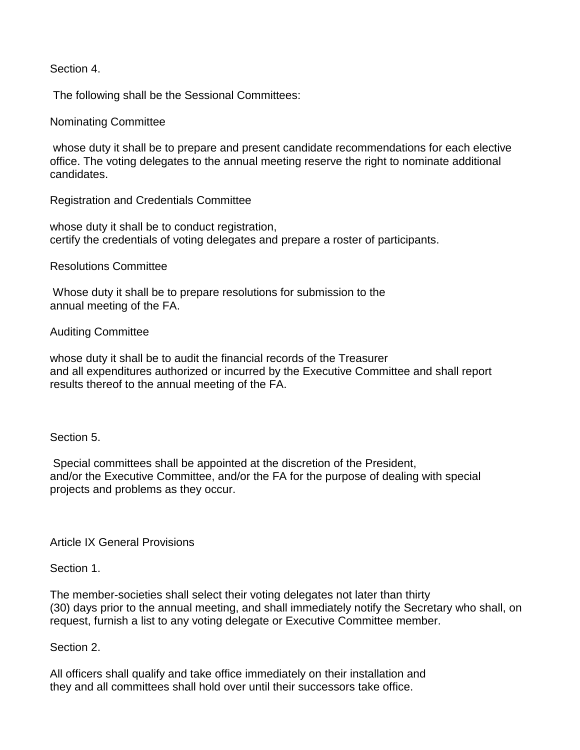Section 4.

The following shall be the Sessional Committees:

Nominating Committee

whose duty it shall be to prepare and present candidate recommendations for each elective office. The voting delegates to the annual meeting reserve the right to nominate additional candidates.

Registration and Credentials Committee

whose duty it shall be to conduct registration, certify the credentials of voting delegates and prepare a roster of participants.

Resolutions Committee

Whose duty it shall be to prepare resolutions for submission to the annual meeting of the FA.

Auditing Committee

whose duty it shall be to audit the financial records of the Treasurer and all expenditures authorized or incurred by the Executive Committee and shall report results thereof to the annual meeting of the FA.

Section 5.

Special committees shall be appointed at the discretion of the President, and/or the Executive Committee, and/or the FA for the purpose of dealing with special projects and problems as they occur.

Article IX General Provisions

Section 1.

The member-societies shall select their voting delegates not later than thirty (30) days prior to the annual meeting, and shall immediately notify the Secretary who shall, on request, furnish a list to any voting delegate or Executive Committee member.

Section 2.

All officers shall qualify and take office immediately on their installation and they and all committees shall hold over until their successors take office.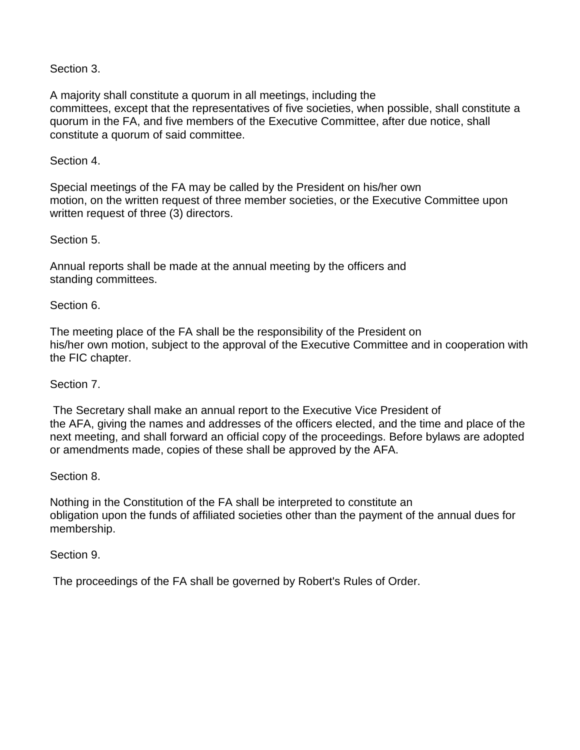# Section 3.

A majority shall constitute a quorum in all meetings, including the committees, except that the representatives of five societies, when possible, shall constitute a quorum in the FA, and five members of the Executive Committee, after due notice, shall constitute a quorum of said committee.

# Section 4.

Special meetings of the FA may be called by the President on his/her own motion, on the written request of three member societies, or the Executive Committee upon written request of three (3) directors.

# Section 5.

Annual reports shall be made at the annual meeting by the officers and standing committees.

# Section 6.

The meeting place of the FA shall be the responsibility of the President on his/her own motion, subject to the approval of the Executive Committee and in cooperation with the FIC chapter.

# Section 7.

The Secretary shall make an annual report to the Executive Vice President of the AFA, giving the names and addresses of the officers elected, and the time and place of the next meeting, and shall forward an official copy of the proceedings. Before bylaws are adopted or amendments made, copies of these shall be approved by the AFA.

# Section 8.

Nothing in the Constitution of the FA shall be interpreted to constitute an obligation upon the funds of affiliated societies other than the payment of the annual dues for membership.

# Section 9.

The proceedings of the FA shall be governed by Robert's Rules of Order.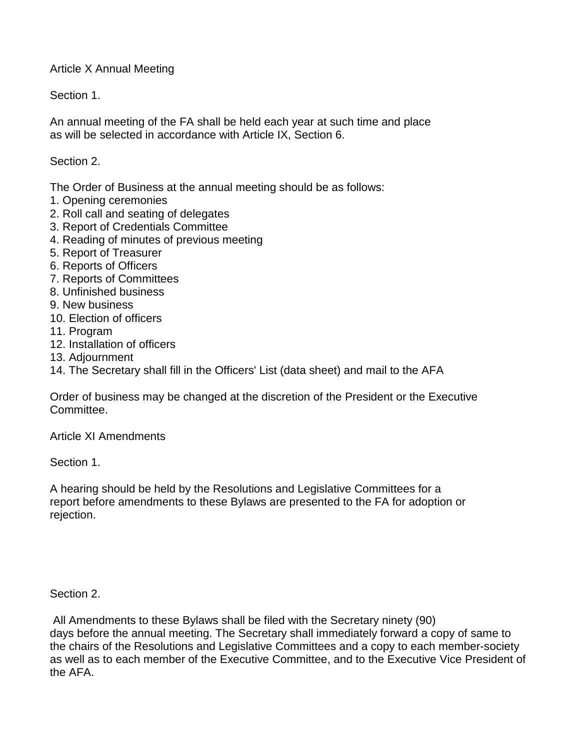Article X Annual Meeting

Section 1.

An annual meeting of the FA shall be held each year at such time and place as will be selected in accordance with Article IX, Section 6.

Section 2.

The Order of Business at the annual meeting should be as follows:

- 1. Opening ceremonies
- 2. Roll call and seating of delegates
- 3. Report of Credentials Committee
- 4. Reading of minutes of previous meeting
- 5. Report of Treasurer
- 6. Reports of Officers
- 7. Reports of Committees
- 8. Unfinished business
- 9. New business
- 10. Election of officers
- 11. Program
- 12. Installation of officers
- 13. Adjournment
- 14. The Secretary shall fill in the Officers' List (data sheet) and mail to the AFA

Order of business may be changed at the discretion of the President or the Executive Committee.

Article XI Amendments

Section 1.

A hearing should be held by the Resolutions and Legislative Committees for a report before amendments to these Bylaws are presented to the FA for adoption or rejection.

Section 2.

All Amendments to these Bylaws shall be filed with the Secretary ninety (90) days before the annual meeting. The Secretary shall immediately forward a copy of same to the chairs of the Resolutions and Legislative Committees and a copy to each member-society as well as to each member of the Executive Committee, and to the Executive Vice President of the AFA.